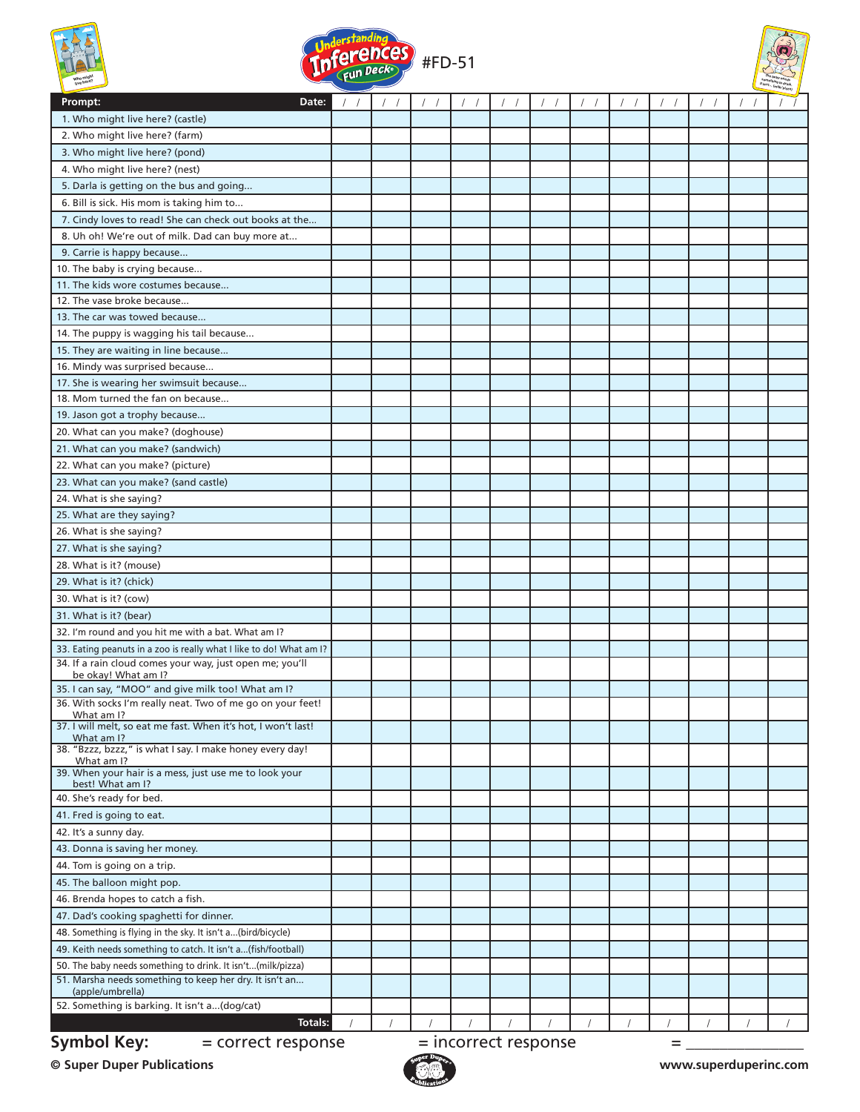

**Symbol Key:**  $=$  correct response  $=$  incorrect response  $=$ 

**© Super Duper Publications www.superduperinc.com**